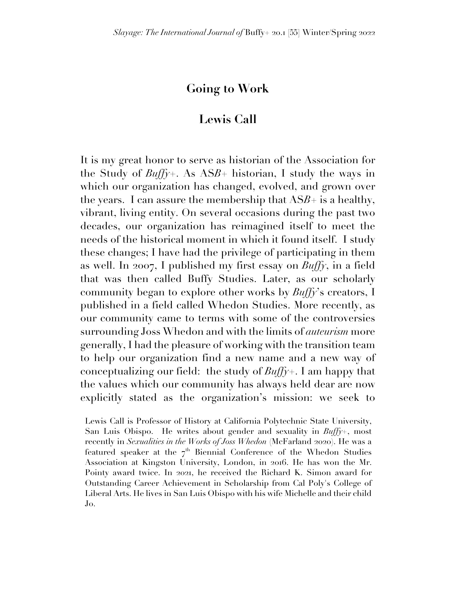## **Going to Work**

## **Lewis Call**

It is my great honor to serve as historian of the Association for the Study of *Buffy*+. As AS*B*+ historian, I study the ways in which our organization has changed, evolved, and grown over the years. I can assure the membership that  $ASB+$  is a healthy, vibrant, living entity. On several occasions during the past two decades, our organization has reimagined itself to meet the needs of the historical moment in which it found itself. I study these changes; I have had the privilege of participating in them as well. In 2007, I published my first essay on *Buffy*, in a field that was then called Buffy Studies. Later, as our scholarly community began to explore other works by *Buffy*'s creators, I published in a field called Whedon Studies. More recently, as our community came to terms with some of the controversies surrounding Joss Whedon and with the limits of *auteurism* more generally, I had the pleasure of working with the transition team to help our organization find a new name and a new way of conceptualizing our field: the study of *Buffy*+. I am happy that the values which our community has always held dear are now explicitly stated as the organization's mission: we seek to

Lewis Call is Professor of History at California Polytechnic State University, San Luis Obispo. He writes about gender and sexuality in *Buffy+*, most recently in *Sexualities in the Works of Joss Whedon* (McFarland 2020). He was a featured speaker at the  $7<sup>th</sup>$  Biennial Conference of the Whedon Studies Association at Kingston University, London, in 2016. He has won the Mr. Pointy award twice. In 2021, he received the Richard K. Simon award for Outstanding Career Achievement in Scholarship from Cal Poly's College of Liberal Arts. He lives in San Luis Obispo with his wife Michelle and their child Jo.